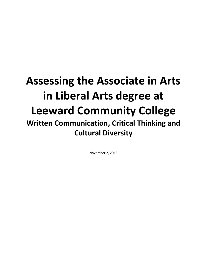# **Assessing the Associate in Arts in Liberal Arts degree at Leeward Community College Written Communication, Critical Thinking and Cultural Diversity**

November 2, 2016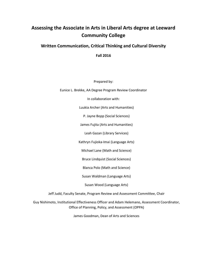### **Assessing the Associate in Arts in Liberal Arts degree at Leeward Community College**

### **Written Communication, Critical Thinking and Cultural Diversity**

**Fall 2016**

Prepared by:

Eunice L. Brekke, AA Degree Program Review Coordinator

In collaboration with:

Luukia Archer (Arts and Humanities)

P. Jayne Bopp (Social Sciences)

James Fujita (Arts and Humanities)

Leah Gazan (Library Services)

Kathryn Fujioka-Imai (Language Arts)

Michael Lane (Math and Science)

Bruce Lindquist (Social Sciences)

Blanca Polo (Math and Science)

Susan Waldman (Language Arts)

Susan Wood (Language Arts)

Jeff Judd, Faculty Senate, Program Review and Assessment Committee, Chair

Guy Nishimoto, Institutional Effectiveness Officer and Adam Helemano, Assessment Coordinator, Office of Planning, Policy, and Assessment (OPPA)

James Goodman, Dean of Arts and Sciences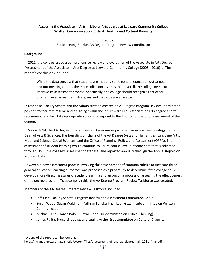#### **Assessing the Associate in Arts in Liberal Arts degree at Leeward Community College Written Communication, Critical Thinking and Cultural Diversity**

Submitted by: Eunice Leung Brekke, AA Degree Program Review Coordinator

#### **Background**

In 2011, the college issued a comprehensive review and evaluation of the Associate in Arts Degree "Assessment of the Associate in Arts Degree at Leeward Community College (2005 - 2010)<sup>1</sup>." The report's conclusions included

While the data suggest that students are meeting some general education outcomes, and not meeting others, the more solid conclusion is that, overall, the college needs to improve its assessment process. Specifically, the college should recognize that other program level assessment strategies and methods are available.

In response, Faculty Senate and the Administration created an AA Degree Program Review Coordinator position to facilitate regular and on-going evaluation of Leeward CC's Associate of Arts degree and to recommend and facilitate appropriate actions to respond to the findings of the prior assessment of the degree.

In Spring 2014, the AA Degree Program Review Coordinator proposed an assessment strategy to the Dean of Arts & Sciences, the four division chairs of the AA Degree (Arts and Humanities, Language Arts, Math and Science, Social Sciences) and the Office of Planning, Policy, and Assessment (OPPA). The assessment of student learning would continue to utilize course level outcome data that is collected through Tk20 (the college's assessment database) and reported annually through the Annual Report on Program Data.

However, a new assessment process involving the development of common rubrics to measure three general education learning outcomes was proposed as a pilot study to determine if the college could develop more direct measures of student learning and an ongoing process of assessing the effectiveness of the degree program. To accomplish this, the AA Degree Program Review Taskforce was created.

Members of the AA Degree Program Review Taskforce included:

- Jeff Judd, Faculty Senate, Program Review and Assessment Committee, Chair
- Susan Wood, Susan Waldman, Kathryn Fujioka-Imai, Leah Gazan (subcommittee on Written Communication)
- Michael Lane, Blanca Polo, P. Jayne Bopp (subcommittee on Critical Thinking)
- James Fujita, Bruce Lindquist, and Luukia Archer (subcommittee on Cultural Diversity)

l

 $1$  A copy of the report can be found at

http://intranet.leeward.hawaii.edu/system/files/assessment of the aa degree fall 2011 final.pdf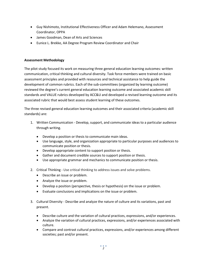- Guy Nishimoto, Institutional Effectiveness Officer and Adam Helemano, Assessment Coordinator, OPPA
- James Goodman, Dean of Arts and Sciences
- Eunice L. Brekke, AA Degree Program Review Coordinator and Chair

#### **Assessment Methodology**

The pilot study focused its work on measuring three general education learning outcomes: written communication, critical thinking and cultural diversity. Task force members were trained on basic assessment principles and provided with resources and technical assistance to help guide the development of common rubrics. Each of the sub-committees (organized by learning outcome) reviewed the degree's current general education learning outcome and associated academic skill standards and VALUE rubrics developed by ACC&U and developed a revised learning outcome and its associated rubric that would best assess student learning of these outcomes.

The three revised general education learning outcomes and their associated criteria (academic skill standards) are:

- 1. Written Communication Develop, support, and communicate ideas to a particular audience through writing.
	- Develop a position or thesis to communicate main ideas.
	- Use language, style, and organization appropriate to particular purposes and audiences to communicate position or thesis.
	- Develop appropriate content to support position or thesis.
	- Gather and document credible sources to support position or thesis.
	- Use appropriate grammar and mechanics to communicate position or thesis.
- 2. Critical Thinking Use critical thinking to address issues and solve problems.
	- Describe an issue or problem.
	- Analyze the issue or problem.
	- Develop a position (perspective, thesis or hypothesis) on the issue or problem.
	- Evaluate conclusions and implications on the issue or problem.
- 3. Cultural Diversity Describe and analyze the nature of culture and its variations, past and present.
	- Describe culture and the variation of cultural practices, expressions, and/or experiences.
	- Analyze the variation of cultural practices, expressions, and/or experiences associated with culture.
	- Compare and contrast cultural practices, expressions, and/or experiences among different societies; past and/or present.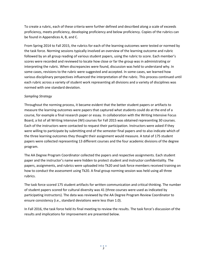To create a rubric, each of these criteria were further defined and described along a scale of exceeds proficiency, meets proficiency, developing proficiency and below proficiency. Copies of the rubrics can be found in Appendices A, B, and C.

From Spring 2014 to Fall 2015, the rubrics for each of the learning outcomes were tested or normed by the task force. Norming sessions typically involved an overview of the learning outcome and rubric followed by an all group reading of various student papers, using the rubric to score. Each member's scores were recorded and reviewed to locate how close or far the group was in administrating or interpreting the rubric. When discrepancies were found, discussion was held to understand why. In some cases, revisions to the rubric were suggested and accepted. In some cases, we learned how various disciplinary perspectives influenced the interpretation of the rubric. This process continued until each rubric across a variety of student work representing all divisions and a variety of disciplines was normed with one standard deviation.

#### *Sampling Strategy*

Throughout the norming process, it became evident that the better student papers or artifacts to measure the learning outcomes were papers that captured what students could do at the end of a course, for example a final research paper or essay. In collaboration with the Writing Intensive Focus Board, a list of all Writing Intensive (WI) courses for Fall 2015 was obtained representing 30 courses. Each of the instructors were contacted to request their participation. Instructors were asked if they were willing to participate by submitting end of the semester final papers and to also indicate which of the three learning outcomes they thought their assignment would measure. A total of 175 student papers were collected representing 13 different courses and the four academic divisions of the degree program.

The AA Degree Program Coordinator collected the papers and respective assignments. Each student paper and the instructor's name were hidden to protect student and instructor confidentiality. The papers, assignments, and rubrics were uploaded into Tk20 and task force members received training on how to conduct the assessment using Tk20. A final group norming session was held using all three rubrics.

The task force scored 175 student artifacts for written communication and critical thinking. The number of student papers scored for cultural diversity was 41 (three courses were used as indicated by participating instructors). The data was reviewed by the AA Degree Program Review Coordinator to ensure consistency (i.e., standard deviations were less than 1.0).

In Fall 2016, the task force held its final meeting to review the results. The task force's discussion of the results and implications for improvement are presented below.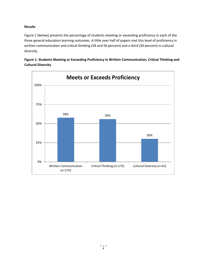#### **Results**

Figure 1 (below) presents the percentage of students meeting or exceeding proficiency in each of the three general education learning outcomes. A little over half of papers met this level of proficiency in written communication and critical thinking (58 and 56 percent) and a third (30 percent) in cultural diversity.



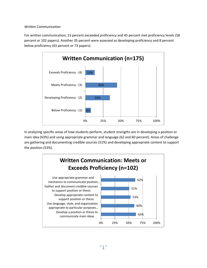#### *Written Communication*

For written communication, 13 percent exceeded proficiency and 45 percent met proficiency levels (58 percent or 102 papers). Another 35 percent were assessed as developing proficiency and 8 percent below proficiency (43 percent or 73 papers).



In analyzing specific areas of how students perform, student strengths are in developing a position or main idea (63%) and using appropriate grammar and language (62 and 60 percent). Areas of challenge are gathering and documenting credible sources (51%) and developing appropriate content to support the position (53%).

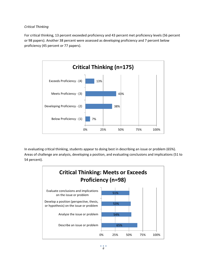#### *Critical Thinking*

For critical thinking, 13 percent exceeded proficiency and 43 percent met proficiency levels (56 percent or 98 papers). Another 38 percent were assessed as developing proficiency and 7 percent below proficiency (45 percent or 77 papers).



In evaluating critical thinking, students appear to doing best in describing an issue or problem (65%). Areas of challenge are analysis, developing a position, and evaluating conclusions and implications (51 to 54 percent).

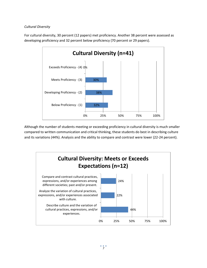#### *Cultural Diversity*

For cultural diversity, 30 percent (12 papers) met proficiency. Another 38 percent were assessed as developing proficiency and 32 percent below proficiency (70 percent or 29 papers).



Although the number of students meeting or exceeding proficiency in cultural diversity is much smaller compared to written communication and critical thinking, these students do best in describing culture and its variations (44%). Analysis and the ability to compare and contrast were lower (22-24 percent).

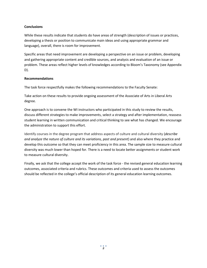#### **Conclusions**

While these results indicate that students do have areas of strength (description of issues or practices, developing a thesis or position to communicate main ideas and using appropriate grammar and language), overall, there is room for improvement.

Specific areas that need improvement are developing a perspective on an issue or problem, developing and gathering appropriate content and credible sources, and analysis and evaluation of an issue or problem. These areas reflect higher levels of knowledges according to Bloom's Taxonomy (see Appendix D).

#### **Recommendations**

The task force respectfully makes the following recommendations to the Faculty Senate:

Take action on these results to provide ongoing assessment of the Associate of Arts in Liberal Arts degree.

One approach is to convene the WI instructors who participated in this study to review the results, discuss different strategies to make improvements, select a strategy and after implementation, reassess student learning in written communication and critical thinking to see what has changed. We encourage the administration to support this effort.

Identify courses in the degree program that address aspects of culture and cultural diversity (*describe and analyze the nature of culture and its variations, past and present*) and also where they practice and develop this outcome so that they can meet proficiency in this area. The sample size to measure cultural diversity was much lower than hoped for. There is a need to locate better assignments or student work to measure cultural diversity.

Finally, we ask that the college accept the work of the task force - the revised general education learning outcomes, associated criteria and rubrics. These outcomes and criteria used to assess the outcomes should be reflected in the college's official description of its general education learning outcomes.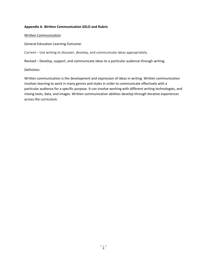#### **Appendix A. Written Communication GELO and Rubric**

#### Written Communication

General Education Learning Outcome:

Current – Use writing to discover, develop, and communicate ideas appropriately.

Revised – Develop, support, and communicate ideas to a particular audience through writing.

Definition:

Written communication is the development and expression of ideas in writing. Written communication involves learning to work in many genres and styles in order to communicate effectively with a particular audience for a specific purpose. It can involve working with different writing technologies, and mixing texts, data, and images. Written communication abilities develop through iterative experiences across the curriculum.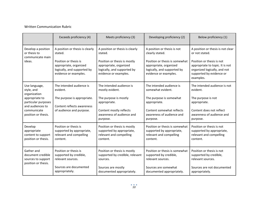#### Written Communication Rubric

|                                                                                                 | Exceeds proficiency (4)                                                                                                                               | Meets proficiency (3)                                                                                                                                        | Developing proficiency (2)                                                                                                                                         | Below proficiency (1)                                                                                                                                                           |
|-------------------------------------------------------------------------------------------------|-------------------------------------------------------------------------------------------------------------------------------------------------------|--------------------------------------------------------------------------------------------------------------------------------------------------------------|--------------------------------------------------------------------------------------------------------------------------------------------------------------------|---------------------------------------------------------------------------------------------------------------------------------------------------------------------------------|
| Develop a position<br>or thesis to<br>communicate main<br>ideas.                                | A position or thesis is clearly<br>stated.<br>Position or thesis is<br>appropriate, organized<br>logically, and supported by<br>evidence or examples. | A position or thesis is clearly<br>stated.<br>Position or thesis is mostly<br>appropriate, organized<br>logically, and supported by<br>evidence or examples. | A position or thesis is not<br>clearly stated.<br>Position or thesis is somewhat<br>appropriate, organized<br>logically, and supported by<br>evidence or examples. | A position or thesis is not clear<br>or not stated.<br>Position or thesis is not<br>appropriate to topic. It is not<br>organized logically, and not<br>supported by evidence or |
|                                                                                                 |                                                                                                                                                       |                                                                                                                                                              |                                                                                                                                                                    | examples.                                                                                                                                                                       |
| Use language,<br>style, and<br>organization                                                     | The intended audience is<br>evident.                                                                                                                  | The intended audience is<br>mostly evident.                                                                                                                  | The intended audience is<br>somewhat evident.                                                                                                                      | The intended audience is not<br>evident.                                                                                                                                        |
| appropriate to<br>particular purposes<br>and audiences to<br>communicate<br>position or thesis. | The purpose is appropriate.<br>Content reflects awareness                                                                                             | The purpose is mostly<br>appropriate.                                                                                                                        | The purpose is somewhat<br>appropriate.                                                                                                                            | The purpose is not<br>appropriate.                                                                                                                                              |
|                                                                                                 | of audience and purpose.                                                                                                                              | Content mostly reflects<br>awareness of audience and<br>purpose.                                                                                             | Content somewhat reflects<br>awareness of audience and<br>purpose.                                                                                                 | Content does not reflect<br>awareness of audience and<br>purpose.                                                                                                               |
| Develop<br>appropriate<br>content to support<br>position or thesis.                             | Position or thesis is<br>supported by appropriate,<br>relevant and compelling<br>content.                                                             | Position or thesis is mostly<br>supported by appropriate,<br>relevant and compelling<br>content.                                                             | Position or thesis is somewhat<br>supported by appropriate,<br>relevant and compelling<br>content.                                                                 | Position or thesis is not<br>supported by appropriate,<br>relevant and compelling<br>content.                                                                                   |
| Gather and<br>document credible<br>sources to support                                           | Position or thesis is<br>supported by credible,<br>relevant sources.                                                                                  | Position or thesis is mostly<br>supported by credible, relevant<br>sources.                                                                                  | Position or thesis is somewhat<br>supported by credible,<br>relevant sources.                                                                                      | Position or thesis is not<br>supported by credible,<br>relevant sources.                                                                                                        |
| position or thesis.                                                                             | Sources are documented<br>appropriately.                                                                                                              | Sources are mostly<br>documented appropriately.                                                                                                              | Sources are somewhat<br>documented appropriately.                                                                                                                  | Sources are not documented<br>appropriately.                                                                                                                                    |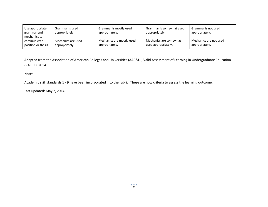| Use appropriate<br>grammar and<br>mechanics to | Grammar is used<br>appropriately. | Grammar is mostly used<br>appropriately. | Grammar is somewhat used<br>appropriately. | Grammar is not used<br>appropriately. |
|------------------------------------------------|-----------------------------------|------------------------------------------|--------------------------------------------|---------------------------------------|
| communicate                                    | Mechanics are used                | Mechanics are mostly used                | Mechanics are somewhat                     | Mechanics are not used                |
| position or thesis.                            | appropriately.                    | appropriately.                           | used appropriately.                        | appropriately.                        |

Adapted from the Association of American Colleges and Universities (AAC&U), Valid Assessment of Learning in Undergraduate Education (VALUE), 2014.

Notes:

Academic skill standards 1 - 9 have been incorporated into the rubric. These are now criteria to assess the learning outcome.

Last updated: May 2, 2014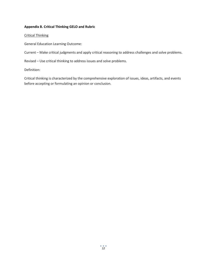#### **Appendix B. Critical Thinking GELO and Rubric**

#### Critical Thinking

General Education Learning Outcome:

Current – Make critical judgments and apply critical reasoning to address challenges and solve problems.

Revised – Use critical thinking to address issues and solve problems.

Definition:

Critical thinking is characterized by the comprehensive exploration of issues, ideas, artifacts, and events before accepting or formulating an opinion or conclusion.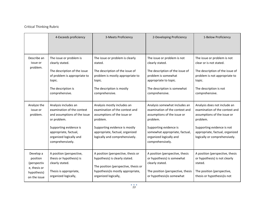### Critical Thinking Rubric

|                                                                                     | 4-Exceeds proficiency                                                                                                                                                                               | 3-Meets Proficiency                                                                                                                                                                                            | 2-Developing Proficiency                                                                                                                                                                                              | 1-Below Proficiency                                                                                                                                                                                         |
|-------------------------------------------------------------------------------------|-----------------------------------------------------------------------------------------------------------------------------------------------------------------------------------------------------|----------------------------------------------------------------------------------------------------------------------------------------------------------------------------------------------------------------|-----------------------------------------------------------------------------------------------------------------------------------------------------------------------------------------------------------------------|-------------------------------------------------------------------------------------------------------------------------------------------------------------------------------------------------------------|
|                                                                                     |                                                                                                                                                                                                     |                                                                                                                                                                                                                |                                                                                                                                                                                                                       |                                                                                                                                                                                                             |
| Describe an<br>issue or<br>problem.                                                 | The issue or problem is<br>clearly stated.<br>The description of the issue<br>of problem is appropriate to<br>topic.<br>The description is<br>comprehensive.                                        | The issue or problem is clearly<br>stated.<br>The description of the issue of<br>problem is mostly appropriate to<br>topic.<br>The description is mostly<br>comprehensive.                                     | The issue or problem is not<br>clearly stated.<br>The description of the issue of<br>problem is somewhat<br>appropriate to topic.<br>The description is somewhat<br>comprehensive.                                    | The issue or problem is not<br>clear or is not stated.<br>The description of the issue of<br>problem is not appropriate to<br>topic.<br>The description is not<br>comprehensive.                            |
| Analyze the<br>issue or<br>problem.                                                 | Analysis includes an<br>examination of the context<br>and assumptions of the issue<br>or problem.<br>Supporting evidence is<br>appropriate, factual,<br>organized logically and<br>comprehensively. | Analysis mostly includes an<br>examination of the context and<br>assumptions of the issue or<br>problem.<br>Supporting evidence is mostly<br>appropriate, factual, organized<br>logically and comprehensively. | Analysis somewhat includes an<br>examination of the context and<br>assumptions of the issue or<br>problem.<br>Supporting evidence is<br>somewhat appropriate, factual,<br>organized logically and<br>comprehensively. | Analysis does not include an<br>examination of the context and<br>assumptions of the issue or<br>problem.<br>Supporting evidence is not<br>appropriate, factual, organized<br>logically or comprehensively. |
| Develop a<br>position<br>(perspectiv<br>e, thesis or<br>hypothesis)<br>on the issue | A position (perspective,<br>thesis or hypothesis) is<br>clearly stated.<br>Thesis is appropriate,<br>organized logically,                                                                           | A position (perspective, thesis or<br>hypothesis) is clearly stated.<br>The position (perspective, thesis or<br>hypothesis) is mostly appropriate,<br>organized logically,                                     | A position (perspective, thesis<br>or hypothesis) is somewhat<br>clearly stated.<br>The position (perspective, thesis<br>or hypothesis) is somewhat                                                                   | A position (perspective, thesis<br>or hypothesis) is not clearly<br>stated.<br>The position (perspective,<br>thesis or hypothesis) is not                                                                   |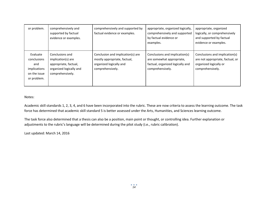| or problem.                                                                   | comprehensively and<br>supported by factual<br>evidence or examples.                                          | comprehensively and supported by<br>factual evidence or examples.                                                | appropriate, organized logically,<br>comprehensively and supported<br>by factual evidence or<br>examples.           | appropriate, organized<br>logically, or comprehensively<br>and supported by factual<br>evidence or examples.     |
|-------------------------------------------------------------------------------|---------------------------------------------------------------------------------------------------------------|------------------------------------------------------------------------------------------------------------------|---------------------------------------------------------------------------------------------------------------------|------------------------------------------------------------------------------------------------------------------|
| Evaluate<br>conclusions<br>and<br>implications<br>on the issue<br>or problem. | Conclusions and<br>implication(s) are<br>appropriate, factual,<br>organized logically and<br>comprehensively. | Conclusion and implication(s) are<br>mostly appropriate, factual,<br>organized logically and<br>comprehensively. | Conclusions and implication(s)<br>are somewhat appropriate,<br>factual, organized logically and<br>comprehensively. | Conclusions and implication(s)<br>are not appropriate, factual, or<br>organized logically or<br>comprehensively. |

Notes:

Academic skill standards 1, 2, 3, 4, and 6 have been incorporated into the rubric. These are now criteria to assess the learning outcome. The task force has determined that academic skill standard 5 is better assessed under the Arts, Humanities, and Sciences learning outcome.

The task force also determined that a thesis can also be a position, main point or thought, or controlling idea. Further explanation or adjustments to the rubric's language will be determined during the pilot study (i.e., rubric calibration).

Last updated: March 14, 2016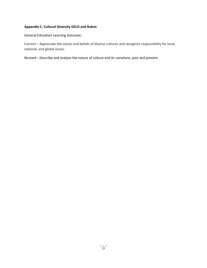### **Appendix C. Cultural Diversity GELO and Rubric**

General Education Learning Outcome:

Current – Appreciate the values and beliefs of diverse cultures and recognize responsibility for local, national, and global issues.

Revised – Describe and analyze the nature of culture and its variations, past and present.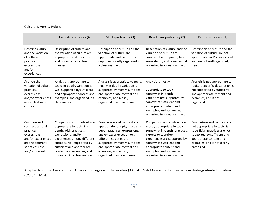### Cultural Diversity Rubric

|                                                                                                                                               | Exceeds proficiency (4)                                                                                                                                                                                                                                            | Meets proficiency (3)                                                                                                                                                                                                                                                             | Developing proficiency (2)                                                                                                                                                                                                                                          | Below proficiency (1)                                                                                                                                                                                 |
|-----------------------------------------------------------------------------------------------------------------------------------------------|--------------------------------------------------------------------------------------------------------------------------------------------------------------------------------------------------------------------------------------------------------------------|-----------------------------------------------------------------------------------------------------------------------------------------------------------------------------------------------------------------------------------------------------------------------------------|---------------------------------------------------------------------------------------------------------------------------------------------------------------------------------------------------------------------------------------------------------------------|-------------------------------------------------------------------------------------------------------------------------------------------------------------------------------------------------------|
| Describe culture<br>and the variation<br>of cultural<br>practices,<br>expressions,<br>and/or<br>experiences.                                  | Description of culture and<br>the variation of culture are<br>appropriate and in-depth<br>and organized in a clear<br>manner.                                                                                                                                      | Description of culture and the<br>variation of culture are<br>appropriate and are mostly in-<br>depth and mostly organized in<br>a clear manner.                                                                                                                                  | Description of culture and the<br>variation of culture are<br>somewhat appropriate, has<br>some depth, and is somewhat<br>organized in a clear manner.                                                                                                              | Description of culture and the<br>variation of culture are not<br>appropriate and/or superficial<br>and are not well organized,<br>clear.                                                             |
| Analyze the<br>variation of cultural<br>practices,<br>expressions,<br>and/or experiences<br>associated with<br>culture.                       | Analysis is appropriate to<br>topic, in-depth, variation is<br>well supported by sufficient<br>and appropriate content and<br>examples, and organized in a<br>clear manner.                                                                                        | Analysis is appropriate to topic,<br>mostly in-depth; variation is<br>supported by mostly sufficient<br>and appropriate content and<br>examples, and mostly<br>organized in a clear manner.                                                                                       | Analysis is mostly<br>appropriate to topic,<br>somewhat in-depth,<br>variations are supported by<br>somewhat sufficient and<br>appropriate content and<br>examples, and somewhat<br>organized in a clear manner.                                                    | Analysis is not appropriate to<br>topic, is superficial, variation is<br>not supported by sufficient<br>and appropriate content and<br>examples, and is not<br>organized.                             |
| Compare and<br>contrast cultural<br>practices,<br>expressions,<br>and/or experiences<br>among different<br>societies; past<br>and/or present. | Comparison and contrast are<br>appropriate to topic, in-<br>depth, with practices,<br>expressions, and/or<br>experiences among different<br>societies well supported by<br>sufficient and appropriate<br>content and examples, and<br>organized in a clear manner. | Comparison and contrast are<br>appropriate to topic, mostly in-<br>depth, practices, expressions,<br>and/or experiences among<br>different societies are<br>supported by mostly sufficient<br>and appropriate content and<br>examples, and mostly<br>organized in a clear manner. | Comparison and contrast are<br>mostly appropriate to topic,<br>somewhat in-depth, practices,<br>expressions, and/or<br>experiences are supported by<br>somewhat sufficient and<br>appropriate content and<br>examples, and somewhat<br>organized in a clear manner. | Comparison and contrast are<br>not appropriate to topic, is<br>superficial, practices are not<br>supported by sufficient and<br>appropriate content and<br>examples, and is not clearly<br>organized. |

Adapted from the Association of American Colleges and Universities (AAC&U), Valid Assessment of Learning in Undergraduate Education (VALUE), 2014.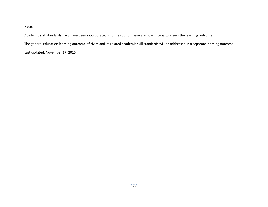Notes:

Academic skill standards 1 – 3 have been incorporated into the rubric. These are now criteria to assess the learning outcome.

The general education learning outcome of civics and its related academic skill standards will be addressed in a separate learning outcome.

Last updated: November 17, 2015